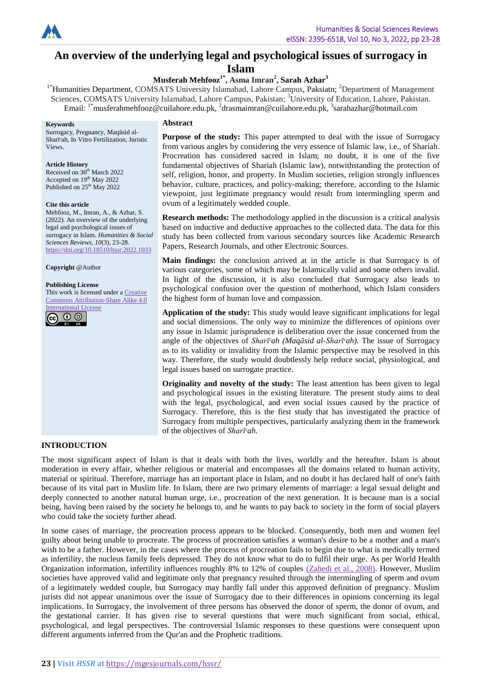

# **An overview of the underlying legal and psychological issues of surrogacy in**

**Islam**

**Musferah Mehfooz1\* , Asma Imran<sup>2</sup> , Sarah Azhar<sup>3</sup>**

<sup>1\*</sup>Humanities Department, COMSATS University Islamabad, Lahore Campus, Paksiatn; <sup>2</sup>Department of Management Sciences, COMSATS University Islamabad, Lahore Campus, Pakistan; <sup>3</sup>University of Education, Lahore, Pakistan. Email: <sup>1\*</sup>musferahmehfooz@cuilahore.edu.pk, <sup>2</sup>drasmaimran@cuilahore.edu.pk, <sup>3</sup>sarahazhar@hotmail.com

#### **Keywords**

Surrogacy, Pregnancy, Maqāsid al-Sharīᶜah, In Vitro Fertilization, Juristic Views.

#### **Article History**

Received on  $30<sup>th</sup>$  March 2022 Accepted on  $19<sup>th</sup>$  May 2022 Published on 25<sup>th</sup> May 2022

#### **Cite this article**

Mehfooz, M., Imran, A., & Azhar, S. (2022). An overview of the underlying legal and psychological issues of surrogacy in Islam. *Humanities & Social Sciences Reviews*, *10*(3), 23-28. <https://doi.org/10.18510/hssr.2022.1033>

**Copyright** @Author

#### **Publishing License**

This work is licensed under a [Creative](https://creativecommons.org/licenses/by-sa/4.0/)  [Commons Attribution-Share Alike 4.0](https://creativecommons.org/licenses/by-sa/4.0/)  [International License](https://creativecommons.org/licenses/by-sa/4.0/)



#### **Abstract**

**Purpose of the study:** This paper attempted to deal with the issue of Surrogacy from various angles by considering the very essence of Islamic law, i.e., of Shariah. Procreation has considered sacred in Islam; no doubt, it is one of the five fundamental objectives of Shariah (Islamic law), notwithstanding the protection of self, religion, honor, and property. In Muslim societies, religion strongly influences behavior, culture, practices, and policy-making; therefore, according to the Islamic viewpoint, just legitimate pregnancy would result from intermingling sperm and ovum of a legitimately wedded couple.

**Research methods:** The methodology applied in the discussion is a critical analysis based on inductive and deductive approaches to the collected data. The data for this study has been collected from various secondary sources like Academic Research Papers, Research Journals, and other Electronic Sources.

**Main findings:** the conclusion arrived at in the article is that Surrogacy is of various categories, some of which may be Islamically valid and some others invalid. In light of the discussion, it is also concluded that Surrogacy also leads to psychological confusion over the question of motherhood, which Islam considers the highest form of human love and compassion.

**Application of the study:** This study would leave significant implications for legal and social dimensions. The only way to minimize the differences of opinions over any issue in Islamic jurisprudence is deliberation over the issue concerned from the angle of the objectives of *Sharī<sup>c</sup>ah (Maqāsid al-Sharī<sup>c</sup>ah)*. The issue of Surrogacy as to its validity or invalidity from the Islamic perspective may be resolved in this way. Therefore, the study would doubtlessly help reduce social, physiological, and legal issues based on surrogate practice.

**Originality and novelty of the study:** The least attention has been given to legal and psychological issues in the existing literature. The present study aims to deal with the legal, psychological, and even social issues caused by the practice of Surrogacy. Therefore, this is the first study that has investigated the practice of Surrogacy from multiple perspectives, particularly analyzing them in the framework of the objectives of *Sharīᶜah*.

## **INTRODUCTION**

The most significant aspect of Islam is that it deals with both the lives, worldly and the hereafter. Islam is about moderation in every affair, whether religious or material and encompasses all the domains related to human activity, material or spiritual. Therefore, marriage has an important place in Islam, and no doubt it has declared half of one's faith because of its vital part in Muslim life. In Islam, there are two primary elements of marriage: a legal sexual delight and deeply connected to another natural human urge, i.e., procreation of the next generation. It is because man is a social being, having been raised by the society he belongs to, and he wants to pay back to society in the form of social players who could take the society further ahead.

In some cases of marriage, the procreation process appears to be blocked. Consequently, both men and women feel guilty about being unable to procreate. The process of procreation satisfies a woman's desire to be a mother and a man's wish to be a father. However, in the cases where the process of procreation fails to begin due to what is medically termed as infertility, the nucleus family feels depressed. They do not know what to do to fulfil their urge. As per World Health Organization information, infertility influences roughly 8% to 12% of couples [\(Zahedi et](#page-5-0) al., 2008). However, Muslim societies have approved valid and legitimate only that pregnancy resulted through the intermingling of sperm and ovum of a legitimately wedded couple, but Surrogacy may hardly fall under this approved definition of pregnancy. Muslim jurists did not appear unanimous over the issue of Surrogacy due to their differences in opinions concerning its legal implications. In Surrogacy, the involvement of three persons has observed the donor of sperm, the donor of ovum, and the gestational carrier. It has given rise to several questions that were much significant from social, ethical, psychological, and legal perspectives. The controversial Islamic responses to these questions were consequent upon different arguments inferred from the Qur'an and the Prophetic traditions.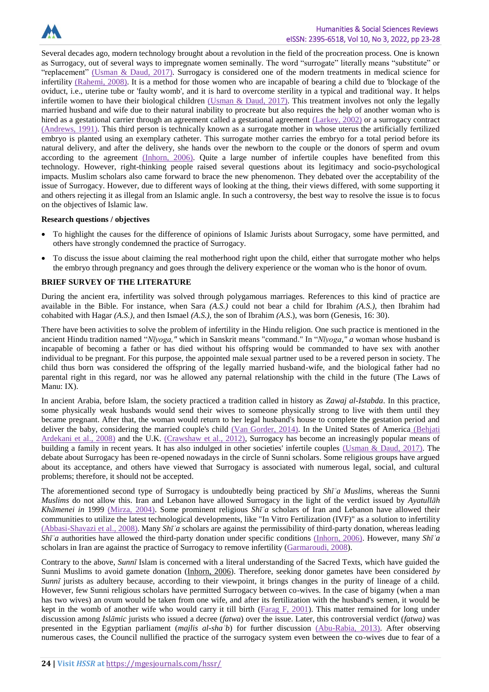

Several decades ago, modern technology brought about a revolution in the field of the procreation process. One is known as Surrogacy, out of several ways to impregnate women seminally. The word "surrogate" literally means "substitute" or "replacement" [\(Usman & Daud,](file:///C:/Users/Dr.Musfarah/Downloads/H10%202%2011.edited.edited01.docx%23Usman) 2017). Surrogacy is considered one of the modern treatments in medical science for infertility [\(Rahemi, 2008\).](#page-5-1) It is a method for those women who are incapable of bearing a child due to 'blockage of the oviduct, i.e., uterine tube or 'faulty womb', and it is hard to overcome sterility in a typical and traditional way. It helps infertile women to have their biological children [\(Usman & Daud,](file:///C:/Users/Dr.Musfarah/Downloads/H10%202%2011.edited.edited01.docx%23Usman) 2017). This treatment involves not only the legally married husband and wife due to their natural inability to procreate but also requires the help of another woman who is hired as a gestational carrier through an agreement called a gestational agreement [\(Larkey, 2002\)](#page-5-2) or a surrogacy contract [\(Andrews, 1991\).](#page-5-3) This third person is technically known as a surrogate mother in whose uterus the artificially fertilized embryo is planted using an exemplary catheter. This surrogate mother carries the embryo for a total period before its natural delivery, and after the delivery, she hands over the newborn to the couple or the donors of sperm and ovum according to the agreement [\(Inhorn, 2006\).](#page-5-4) Quite a large number of infertile couples have benefited from this technology. However, right-thinking people raised several questions about its legitimacy and socio-psychological impacts. Muslim scholars also came forward to brace the new phenomenon. They debated over the acceptability of the issue of Surrogacy. However, due to different ways of looking at the thing, their views differed, with some supporting it and others rejecting it as illegal from an Islamic angle. In such a controversy, the best way to resolve the issue is to focus on the objectives of Islamic law.

#### **Research questions / objectives**

- To highlight the causes for the difference of opinions of Islamic Jurists about Surrogacy, some have permitted, and others have strongly condemned the practice of Surrogacy.
- To discuss the issue about claiming the real motherhood right upon the child, either that surrogate mother who helps the embryo through pregnancy and goes through the delivery experience or the woman who is the honor of ovum.

#### **BRIEF SURVEY OF THE LITERATURE**

During the ancient era, infertility was solved through polygamous marriages. References to this kind of practice are available in the Bible. For instance, when Sara *(A.S.)* could not bear a child for Ibrahim *(A.S.)*, then Ibrahim had cohabited with Hagar *(A.S.)*, and then Ismael *(A.S.),* the son of Ibrahim *(A.S*.), was born (Genesis, 16: 30).

There have been activities to solve the problem of infertility in the Hindu religion. One such practice is mentioned in the ancient [Hindu tradition](https://en.wikipedia.org/wiki/Category:Hindu_traditions) named "*Nīyoga,"* which in [Sanskrit](https://en.wikipedia.org/wiki/Sanskrit_language) means "command." In "*Nīyoga," a* woman whose husband is incapable of becoming a father or has died without his offspring would be commanded to have sex with another individual to be pregnant. For this purpose, the appointed male sexual partner used to be a revered person in society. The child thus born was considered the offspring of the legally married husband-wife, and the biological father had no parental right in this regard, nor was he allowed any paternal relationship with the child in the future (The Laws of Manu: IX).

In ancient Arabia, before Islam, the society practiced a tradition called in history as *Zawaj al-Istabda*. In this practice, some physically weak husbands would send their wives to someone physically strong to live with them until they became pregnant. After that, the woman would return to her legal husband's house to complete the gestation period and deliver the baby, considering the married couple's child [\(Van Gorder, 2014\).](#page-5-5) In the United States of America (Behjati [Ardekani et al., 2008\)](#page-5-6) and the U.K. [\(Crawshaw](#page-5-7) et al., 2012), Surrogacy has become an increasingly popular means of building a family in recent years. It has also indulged in other societies' infertile couples [\(Usman & Daud,](file:///C:/Users/Dr.Musfarah/Downloads/H10%202%2011.edited.edited01.docx%23Usman) 2017). The debate about Surrogacy has been re-opened nowadays in the circle of Sunni scholars. Some religious groups have argued about its acceptance, and others have viewed that Surrogacy is associated with numerous legal, social, and cultural problems; therefore, it should not be accepted.

The aforementioned second type of Surrogacy is undoubtedly being practiced by *Shīʿa Muslims*, whereas the Sunni *Muslims* do not allow this. Iran and Lebanon have allowed Surrogacy in the light of the verdict issued by *Ayatullāh Khāmenei in* 1999 [\(Mirza, 2004\).](#page-5-8) Some prominent religious *Shīʿa* scholars of Iran and Lebanon have allowed their communities to utilize the latest technological developments, like "In Vitro Fertilization (IVF)" as a solution to infertility [\(Abbasi-Shavazi et al.,](#page-5-9) 2008). Many *Shīʿa* scholars are against the permissibility of third-party donation, whereas leading *Shīʿa* authorities have allowed the third-party donation under specific conditions [\(Inhorn, 2006\).](#page-5-4) However, many *Shīʿa* scholars in Iran are against the practice of Surrogacy to remove infertility [\(Garmaroudi, 2008\)](#page-5-10).

Contrary to the above, *Sunnī* Islam is concerned with a literal understanding of the Sacred Texts, which have guided the Sunni Muslims to avoid gamete donation [\(Inhorn, 2006\)](#page-5-4). Therefore, seeking donor gametes have been considered *by Sunnī* jurists as adultery because, according to their viewpoint, it brings changes in the purity of lineage of a child. However, few Sunni religious scholars have permitted Surrogacy between co-wives. In the case of bigamy (when a man has two wives) an ovum would be taken from one wife, and after its fertilization with the husband's semen, it would be kept in the womb of another wife who would carry it till birth [\(Farag F, 2001\)](#page-5-11). This matter remained for long under discussion among *Islāmic* jurists who issued a decree (*fatwa*) over the issue. Later, this controversial verdict (*fatwa)* was presented in the Egyptian parliament (*majlis al-shaʿb*) for further discussion [\(Abu-Rabia, 2013\).](#page-5-12) After observing numerous cases, the Council nullified the practice of the surrogacy system even between the co-wives due to fear of a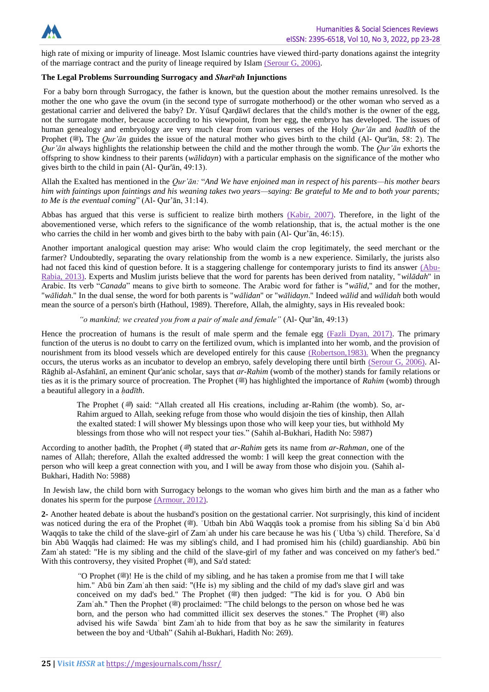

high rate of mixing or impurity of lineage. Most Islamic countries have viewed third-party donations against the integrity of the marriage contract and the purity of lineage required by Islam [\(Serour G, 2006\).](#page-5-13)

# **The Legal Problems Surrounding Surrogacy and** *Sharīᶜah* **Injunctions**

For a baby born through Surrogacy, the father is known, but the question about the mother remains unresolved. Is the mother the one who gave the ovum (in the second type of surrogate motherhood) or the other woman who served as a gestational carrier and delivered the baby? Dr. Yūsuf Qarḍāwī declares that the child's mother is the owner of the egg, not the surrogate mother, because according to his viewpoint, from her egg, the embryo has developed. The issues of human genealogy and embryology are very much clear from various verses of the Holy *Qur'ān* and *ḥadīth* of the Prophet ( $\ddot{\textbf{x}}$ ). The *Qur'ān* guides the issue of the natural mother who gives birth to the child (Al- Qur'ān, 58: 2). The *Qur'ān* always highlights the relationship between the child and the mother through the womb. The *Qur'ān* exhorts the offspring to show kindness to their parents (*wālidayn*) with a particular emphasis on the significance of the mother who gives birth to the child in pain (Al- Qur'ān, 49:13).

Allah the Exalted has mentioned in the *Qur'ān:* "*And We have enjoined man in respect of his parents—his mother bears him with faintings upon faintings and his weaning takes two years—saying: Be grateful to Me and to both your parents; to Me is the eventual coming*" (Al- Qur'ān, 31:14).

Abbas has argued that this verse is sufficient to realize birth mothers [\(Kabir, 2007\).](#page-5-14) Therefore, in the light of the abovementioned verse, which refers to the significance of the womb relationship, that is, the actual mother is the one who carries the child in her womb and gives birth to the baby with pain (Al- Qur'ān, 46:15).

Another important analogical question may arise: Who would claim the crop legitimately, the seed merchant or the farmer? Undoubtedly, separating the ovary relationship from the womb is a new experience. Similarly, the jurists also had not faced this kind of question before. It is a staggering challenge for contemporary jurists to find its answer [\(Abu-](file:///C:/Users/Dr.Musfarah/Downloads/H10%202%2011.edited.edited01.docx%23AbuRabia)[Rabia, 2013\).](file:///C:/Users/Dr.Musfarah/Downloads/H10%202%2011.edited.edited01.docx%23AbuRabia) Experts and Muslim jurists believe that the word for parents has been derived from natality, "*wilādah*" in Arabic. Its verb "*Canada*" means to give birth to someone. The Arabic word for father is "*wālid*," and for the mother, "*wālidah*." In the dual sense, the word for both parents is "*wālidan*" or "*wālidayn*." Indeed *wālid* and *wālidah* both would mean the source of a person's birth (Hathoul, 1989). Therefore, Allah, the almighty, says in His revealed book:

# *"o mankind; we created you from a pair of male and female"* (Al- Qur'ān, 49:13)

Hence the procreation of humans is the result of male sperm and the female egg [\(Fazli Dyan, 2017\).](#page-5-15) The primary function of the uterus is no doubt to carry on the fertilized ovum, which is implanted into her womb, and the provision of nourishment from its blood vessels which are developed entirely for this cause [\(Robertson,1983\).](#page-5-16) When the pregnancy occurs, the uterus works as an incubator to develop an embryo, safely developing there until birth [\(Serour G, 2006\).](#page-5-13) Al-Rāghib al-Asfahānī, an eminent Qur'anic scholar, says that *ar-Rahim* (womb of the mother) stands for family relations or ties as it is the primary source of procreation. The Prophet ( $\ddot{\mathcal{F}}$ ) has highlighted the importance of *Rahim* (womb) through a beautiful allegory in a *ḥadīth*.

The Prophet ( $\implies$ ) said: "Allah created all His creations, including ar-Rahim (the womb). So, ar-Rahim argued to Allah, seeking refuge from those who would disjoin the ties of kinship, then Allah the exalted stated: I will shower My blessings upon those who will keep your ties, but withhold My blessings from those who will not respect your ties." (Sahih al-Bukhari, Hadith No: 5987)

According to another hadīth, the Prophet (
in stated that *ar-Rahim* gets its name from *ar-Rahman*, one of the names of Allah; therefore, Allah the exalted addressed the womb: I will keep the great connection with the person who will keep a great connection with you, and I will be away from those who disjoin you. (Sahih al-Bukhari, Hadith No: 5988)

In Jewish law, the child born with Surrogacy belongs to the woman who gives him birth and the man as a father who donates his sperm for the purpose [\(Armour, 2012\).](#page-5-17)

**2-** Another heated debate is about the husband's position on the gestational carrier. Not surprisingly, this kind of incident was noticed during the era of the Prophet (...). 'Utbah bin Abū Waqqās took a promise from his sibling Sa'd bin Abū Waqqās to take the child of the slave-girl of Zamʿah under his care because he was his (ʿUtba 's) child. Therefore, Saʿd bin Abū Waqqās had claimed: He was my sibling's child, and I had promised him his (child) guardianship. Abū bin Zamʿah stated: "He is my sibling and the child of the slave-girl of my father and was conceived on my father's bed." With this controversy, they visited Prophet (3), and Sa'd stated:

<sup>"</sup>O Prophet ( $\mathcal{F}$ )! He is the child of my sibling, and he has taken a promise from me that I will take him." Abū bin Zam'ah then said: "(He is) my sibling and the child of my dad's slave girl and was conceived on my dad's bed." The Prophet ( $\cong$ ) then judged: "The kid is for you. O Abū bin Zam'ah." Then the Prophet (3) proclaimed: "The child belongs to the person on whose bed he was born, and the person who had committed illicit sex deserves the stones." The Prophet (
also advised his wife Sawdaʿ bint Zamʿah to hide from that boy as he saw the similarity in features between the boy and *Cutbah*" (Sahih al-Bukhari, Hadith No: 269).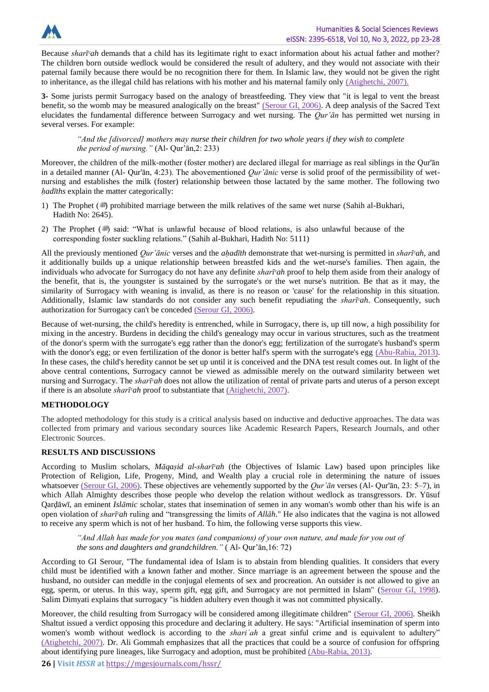

Because *sharī<sup>c</sup>ah* demands that a child has its legitimate right to exact information about his actual father and mother? The children born outside wedlock would be considered the result of adultery, and they would not associate with their paternal family because there would be no recognition there for them. In Islamic law, they would not be given the right to inheritance, as the illegal child has relations with his mother and his maternal family only [\(Atighetchi, 2007\).](#page-5-18)

**3-** Some jurists permit Surrogacy based on the analogy of breastfeeding. They view that "it is legal to vent the breast benefit, so the womb may be measured analogically on the breast" [\(Serour GI,](file:///C:/Users/Dr.Musfarah/Downloads/H10%202%2011.edited.edited01.docx%23Serour) 2006). A deep analysis of the Sacred Text elucidates the fundamental difference between Surrogacy and wet nursing. The *Qur'ān* has permitted wet nursing in several verses. For example:

*"And the [divorced] mothers may nurse their children for two whole years if they wish to complete the period of nursing."* (Al- Qur'ān,2: 233)

Moreover, the children of the milk-mother (foster mother) are declared illegal for marriage as real siblings in the Qur'ān in a detailed manner (Al- Qur'ān, 4:23). The abovementioned *Qur'ānic* verse is solid proof of the permissibility of wetnursing and establishes the milk (foster) relationship between those lactated by the same mother. The following two *ḥadīths* explain the matter categorically:

- 1) The Prophet ( $\gg$ ) prohibited marriage between the milk relatives of the same wet nurse (Sahih al-Bukhari, Hadith No: 2645).
- 2) The Prophet  $(\mathcal{L})$  said: "What is unlawful because of blood relations, is also unlawful because of the corresponding foster suckling relations." (Sahih al-Bukhari, Hadith No: 5111)

All the previously mentioned *Qur'ānic* verses and the *aḥadīth* demonstrate that wet-nursing is permitted in *sharī<sup>c</sup>ah*, and it additionally builds up a unique relationship between breastfed kids and the wet-nurse's families. Then again, the individuals who advocate for Surrogacy do not have any definite *sharīᶜah* proof to help them aside from their analogy of the benefit, that is, the youngster is sustained by the surrogate's or the wet nurse's nutrition. Be that as it may, the similarity of Surrogacy with weaning is invalid, as there is no reason or 'cause' for the relationship in this situation. Additionally, Islamic law standards do not consider any such benefit repudiating the *sharī<sup>c</sup>ah*. Consequently, such authorization for Surrogacy can't be conceded [\(Serour GI,](file:///C:/Users/Dr.Musfarah/Downloads/H10%202%2011.edited.edited01.docx%23Serour) 2006).

Because of wet-nursing, the child's heredity is entrenched, while in Surrogacy, there is, up till now, a high possibility for mixing in the ancestry. Burdens in deciding the child's genealogy may occur in various structures, such as the treatment of the donor's sperm with the surrogate's egg rather than the donor's egg; fertilization of the surrogate's husband's sperm with the donor's egg; or even fertilization of the donor is better half's sperm with the surrogate's egg [\(Abu-Rabia, 2013\).](file:///C:/Users/Dr.Musfarah/Downloads/H10%202%2011.edited.edited01.docx%23AbuRabia) In these cases, the child's heredity cannot be set up until it is conceived and the DNA test result comes out. In light of the above central contentions, Surrogacy cannot be viewed as admissible merely on the outward similarity between wet nursing and Surrogacy. The *sharīᶜah* does not allow the utilization of rental of private parts and uterus of a person except if there is an absolute *sharī<sup>c</sup>ah* proof to substantiate that [\(Atighetchi, 2007\).](file:///C:/Users/Dr.Musfarah/Downloads/H10%202%2011.edited.edited01.docx%23Atighetchi)

# **METHODOLOGY**

The adopted methodology for this study is a critical analysis based on inductive and deductive approaches. The data was collected from primary and various secondary sources like Academic Research Papers, Research Journals, and other Electronic Sources.

## **RESULTS AND DISCUSSIONS**

According to Muslim scholars, *Māqaṣid al-sharīᶜah* (the Objectives of Islamic Law) based upon principles like Protection of Religion, Life, Progeny, Mind, and Wealth play a crucial role in determining the nature of issues whatsoever [\(Serour GI,](file:///C:/Users/Dr.Musfarah/Downloads/H10%202%2011.edited.edited01.docx%23Serour) 2006). These objectives are vehemently supported by the *Qur'ān* verses (Al- Qur'ān, 23: 5–7), in which Allah Almighty describes those people who develop the relation without wedlock as transgressors. Dr. Yūsuf Qarḍāwī, an eminent *Islāmic* scholar, states that insemination of semen in any woman's womb other than his wife is an open violation of *sharīᶜah* ruling and "transgressing the limits of *Allāh*." He also indicates that the vagina is not allowed to receive any sperm which is not of her husband. To him, the following verse supports this view.

*"And Allah has made for you mates (and companions) of your own nature, and made for you out of the sons and daughters and grandchildren."* ( Al- Qur'ān,16: 72)

According to GI Serour, "The fundamental idea of Islam is to abstain from blending qualities. It considers that every child must be identified with a known father and mother. Since marriage is an agreement between the spouse and the husband, no outsider can meddle in the conjugal elements of sex and procreation. An outsider is not allowed to give an egg, sperm, or uterus. In this way, sperm gift, egg gift, and Surrogacy are not permitted in Islam" [\(Serour GI, 1998\)](#page-5-13). Salim Dimyati explains that surrogacy "is hidden adultery even though it was not committed physically.

Moreover, the child resulting from Surrogacy will be considered among illegitimate children" [\(Serour GI,](file:///C:/Users/Dr.Musfarah/Downloads/H10%202%2011.edited.edited01.docx%23Serour) 2006). Sheikh Shaltut issued a verdict opposing this procedure and declaring it adultery. He says: "Artificial insemination of sperm into women's womb without wedlock is according to the *shari* ah a great sinful crime and is equivalent to adultery" [\(Atighetchi, 2007\).](file:///C:/Users/Dr.Musfarah/Downloads/H10%202%2011.edited.edited01.docx%23Atighetchi) Dr. Ali Gommah emphasizes that all the practices that could be a source of confusion for offspring about identifying pure lineages, like Surrogacy and adoption, must be prohibited [\(Abu-Rabia, 2013\).](#page-5-12)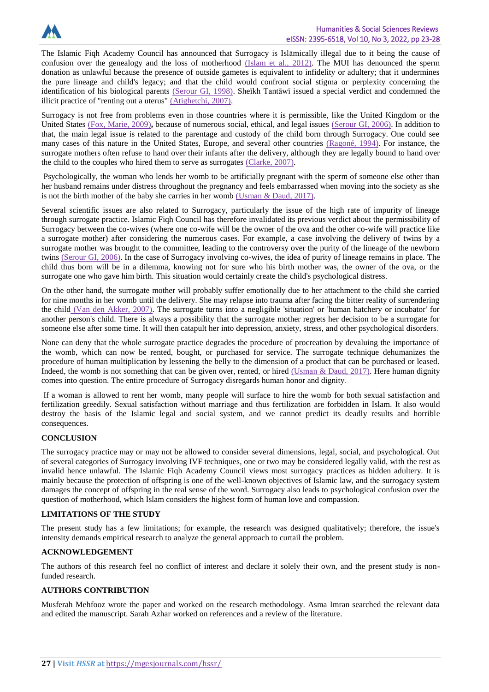

The Islamic Fiqh Academy Council has announced that Surrogacy is Islāmically illegal due to it being the cause of confusion over the genealogy and the loss of motherhood [\(Islam et al., 2012\).](#page-5-19) The MUI has denounced the sperm donation as unlawful because the presence of outside gametes is equivalent to infidelity or adultery; that it undermines the pure lineage and child's legacy; and that the child would confront social stigma or perplexity concerning the identification of his biological parents [\(Serour GI, 1998\).](#page-5-13) Sheīkh Tantāwī issued a special verdict and condemned the illicit practice of "renting out a uterus" [\(Atighetchi, 2007\).](#page-5-18)

Surrogacy is not free from problems even in those countries where it is permissible, like the United Kingdom or the United States [\(Fox, Marie, 2009\)](#page-5-20)**,** because of numerous social, ethical, and legal issues [\(Serour GI,](#page-5-13) 2006). In addition to that, the main legal issue is related to the parentage and custody of the child born through Surrogacy. One could see many cases of this nature in the United States, Europe, and several other countries [\(Ragoné,](#page-5-21) 1994). For instance, the surrogate mothers often refuse to hand over their infants after the delivery, although they are legally bound to hand over the child to the couples who hired them to serve as surrogates [\(Clarke, 2007\).](#page-5-22)

Psychologically, the woman who lends her womb to be artificially pregnant with the sperm of someone else other than her husband remains under distress throughout the pregnancy and feels embarrassed when moving into the society as she is not the birth mother of the baby she carries in her womb [\(Usman & Daud,](#page-5-23) 2017).

Several scientific issues are also related to Surrogacy, particularly the issue of the high rate of impurity of lineage through surrogate practice. Islamic Fiqh Council has therefore invalidated its previous verdict about the permissibility of Surrogacy between the co-wives (where one co-wife will be the owner of the ova and the other co-wife will practice like a surrogate mother) after considering the numerous cases. For example, a case involving the delivery of twins by a surrogate mother was brought to the committee, leading to the controversy over the purity of the lineage of the newborn twins [\(Serour GI,](file:///C:/Users/Dr.Musfarah/Downloads/H10%202%2011.edited.edited01.docx%23Serour) 2006). In the case of Surrogacy involving co-wives, the idea of purity of lineage remains in place. The child thus born will be in a dilemma, knowing not for sure who his birth mother was, the owner of the ova, or the surrogate one who gave him birth. This situation would certainly create the child's psychological distress.

On the other hand, the surrogate mother will probably suffer emotionally due to her attachment to the child she carried for nine months in her womb until the delivery. She may relapse into trauma after facing the bitter reality of surrendering the child [\(Van den Akker, 2007\).](#page-5-24) The surrogate turns into a negligible 'situation' or 'human hatchery or incubator' for another person's child. There is always a possibility that the surrogate mother regrets her decision to be a surrogate for someone else after some time. It will then catapult her into depression, anxiety, stress, and other psychological disorders.

None can deny that the whole surrogate practice degrades the procedure of procreation by devaluing the importance of the womb, which can now be rented, bought, or purchased for service. The surrogate technique dehumanizes the procedure of human multiplication by lessening the belly to the dimension of a product that can be purchased or leased. Indeed, the womb is not something that can be given over, rented, or hired [\(Usman & Daud,](#page-5-23) 2017). Here human dignity comes into question. The entire procedure of Surrogacy disregards human honor and dignity.

If a woman is allowed to rent her womb, many people will surface to hire the womb for both sexual satisfaction and fertilization greedily. Sexual satisfaction without marriage and thus fertilization are forbidden in Islam. It also would destroy the basis of the Islamic legal and social system, and we cannot predict its deadly results and horrible consequences.

## **CONCLUSION**

The surrogacy practice may or may not be allowed to consider several dimensions, legal, social, and psychological. Out of several categories of Surrogacy involving IVF techniques, one or two may be considered legally valid, with the rest as invalid hence unlawful. The Islamic Fiqh Academy Council views most surrogacy practices as hidden adultery. It is mainly because the protection of offspring is one of the well-known objectives of Islamic law, and the surrogacy system damages the concept of offspring in the real sense of the word. Surrogacy also leads to psychological confusion over the question of motherhood, which Islam considers the highest form of human love and compassion.

## **LIMITATIONS OF THE STUDY**

The present study has a few limitations; for example, the research was designed qualitatively; therefore, the issue's intensity demands empirical research to analyze the general approach to curtail the problem.

### **ACKNOWLEDGEMENT**

The authors of this research feel no conflict of interest and declare it solely their own, and the present study is nonfunded research.

# **AUTHORS CONTRIBUTION**

Musferah Mehfooz wrote the paper and worked on the research methodology. Asma Imran searched the relevant data and edited the manuscript. Sarah Azhar worked on references and a review of the literature.